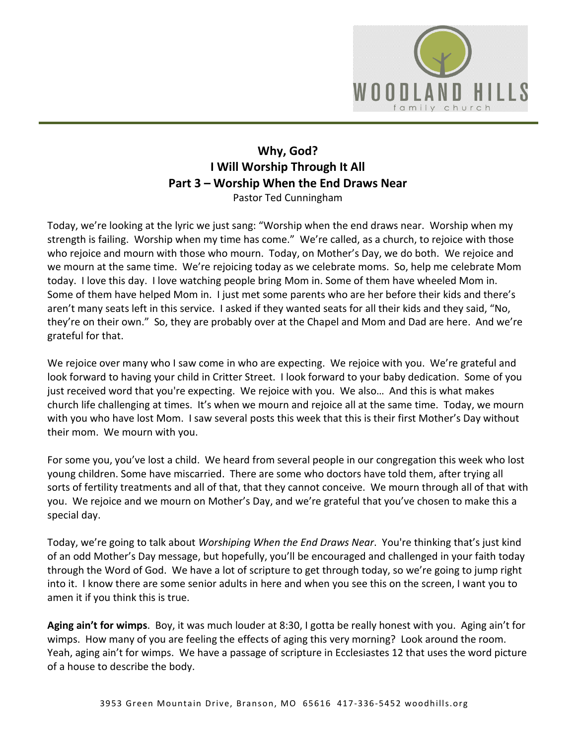

## **Why, God? I Will Worship Through It All Part 3 – Worship When the End Draws Near**  Pastor Ted Cunningham

Today, we're looking at the lyric we just sang: "Worship when the end draws near. Worship when my strength is failing. Worship when my time has come." We're called, as a church, to rejoice with those who rejoice and mourn with those who mourn. Today, on Mother's Day, we do both. We rejoice and we mourn at the same time. We're rejoicing today as we celebrate moms. So, help me celebrate Mom today. I love this day. I love watching people bring Mom in. Some of them have wheeled Mom in. Some of them have helped Mom in. I just met some parents who are her before their kids and there's aren't many seats left in this service. I asked if they wanted seats for all their kids and they said, "No, they're on their own." So, they are probably over at the Chapel and Mom and Dad are here. And we're grateful for that.

We rejoice over many who I saw come in who are expecting. We rejoice with you. We're grateful and look forward to having your child in Critter Street. I look forward to your baby dedication. Some of you just received word that you're expecting. We rejoice with you. We also… And this is what makes church life challenging at times. It's when we mourn and rejoice all at the same time. Today, we mourn with you who have lost Mom. I saw several posts this week that this is their first Mother's Day without their mom. We mourn with you.

For some you, you've lost a child. We heard from several people in our congregation this week who lost young children. Some have miscarried. There are some who doctors have told them, after trying all sorts of fertility treatments and all of that, that they cannot conceive. We mourn through all of that with you. We rejoice and we mourn on Mother's Day, and we're grateful that you've chosen to make this a special day.

Today, we're going to talk about *Worshiping When the End Draws Near*. You're thinking that's just kind of an odd Mother's Day message, but hopefully, you'll be encouraged and challenged in your faith today through the Word of God. We have a lot of scripture to get through today, so we're going to jump right into it. I know there are some senior adults in here and when you see this on the screen, I want you to amen it if you think this is true.

**Aging ain't for wimps**. Boy, it was much louder at 8:30, I gotta be really honest with you. Aging ain't for wimps. How many of you are feeling the effects of aging this very morning? Look around the room. Yeah, aging ain't for wimps. We have a passage of scripture in Ecclesiastes 12 that uses the word picture of a house to describe the body.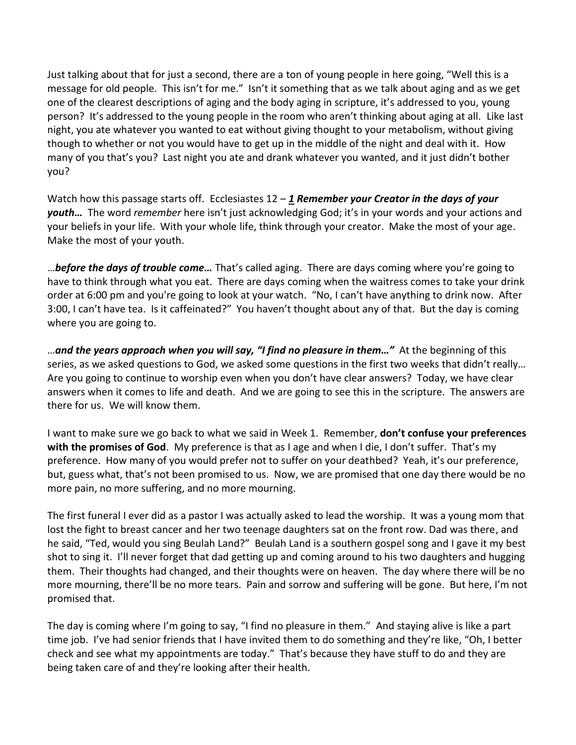Just talking about that for just a second, there are a ton of young people in here going, "Well this is a message for old people. This isn't for me." Isn't it something that as we talk about aging and as we get one of the clearest descriptions of aging and the body aging in scripture, it's addressed to you, young person? It's addressed to the young people in the room who aren't thinking about aging at all. Like last night, you ate whatever you wanted to eat without giving thought to your metabolism, without giving though to whether or not you would have to get up in the middle of the night and deal with it. How many of you that's you? Last night you ate and drank whatever you wanted, and it just didn't bother you?

Watch how this passage starts off. Ecclesiastes 12 – *[1](https://www.studylight.org/desk/?q=ec%2012:1&t1=en_niv&sr=1) Remember your Creator in the days of your youth…* The word *remember* here isn't just acknowledging God; it's in your words and your actions and your beliefs in your life. With your whole life, think through your creator. Make the most of your age. Make the most of your youth.

…*before the days of trouble come…* That's called aging. There are days coming where you're going to have to think through what you eat. There are days coming when the waitress comes to take your drink order at 6:00 pm and you're going to look at your watch. "No, I can't have anything to drink now. After 3:00, I can't have tea. Is it caffeinated?" You haven't thought about any of that. But the day is coming where you are going to.

…*and the years approach when you will say, "I find no pleasure in them…"* At the beginning of this series, as we asked questions to God, we asked some questions in the first two weeks that didn't really… Are you going to continue to worship even when you don't have clear answers? Today, we have clear answers when it comes to life and death. And we are going to see this in the scripture. The answers are there for us. We will know them.

I want to make sure we go back to what we said in Week 1. Remember, **don't confuse your preferences with the promises of God**. My preference is that as I age and when I die, I don't suffer. That's my preference. How many of you would prefer not to suffer on your deathbed? Yeah, it's our preference, but, guess what, that's not been promised to us. Now, we are promised that one day there would be no more pain, no more suffering, and no more mourning.

The first funeral I ever did as a pastor I was actually asked to lead the worship. It was a young mom that lost the fight to breast cancer and her two teenage daughters sat on the front row. Dad was there, and he said, "Ted, would you sing Beulah Land?" Beulah Land is a southern gospel song and I gave it my best shot to sing it. I'll never forget that dad getting up and coming around to his two daughters and hugging them. Their thoughts had changed, and their thoughts were on heaven. The day where there will be no more mourning, there'll be no more tears. Pain and sorrow and suffering will be gone. But here, I'm not promised that.

The day is coming where I'm going to say, "I find no pleasure in them." And staying alive is like a part time job. I've had senior friends that I have invited them to do something and they're like, "Oh, I better check and see what my appointments are today." That's because they have stuff to do and they are being taken care of and they're looking after their health.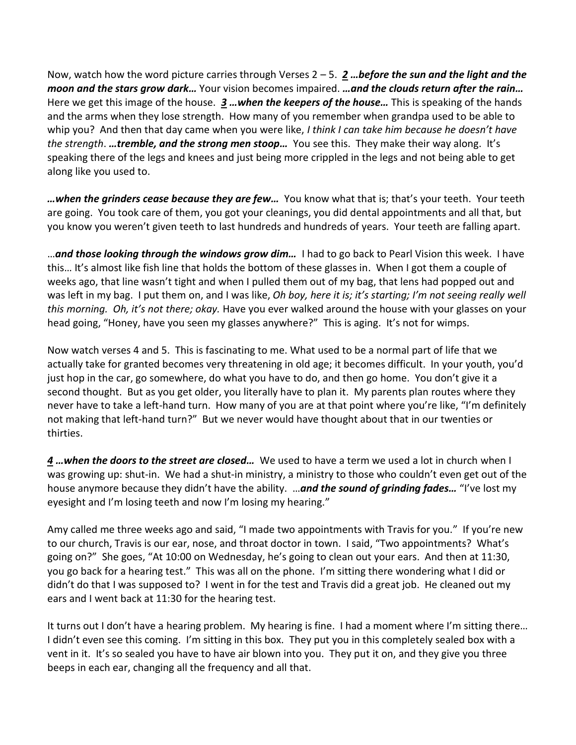Now, watch how the word picture carries through Verses 2 – 5. *[2](https://www.studylight.org/desk/?q=ec%2012:2&t1=en_niv&sr=1) …before the sun and the light and the moon and the stars grow dark…* Your vision becomes impaired. *…and the clouds return after the rain…*  Here we get this image of the house. *[3](https://www.studylight.org/desk/?q=ec%2012:3&t1=en_niv&sr=1) …when the keepers of the house…* This is speaking of the hands and the arms when they lose strength. How many of you remember when grandpa used to be able to whip you? And then that day came when you were like, *I think I can take him because he doesn't have the strength*. *…tremble, and the strong men stoop…* You see this. They make their way along. It's speaking there of the legs and knees and just being more crippled in the legs and not being able to get along like you used to.

*…when the grinders cease because they are few…* You know what that is; that's your teeth. Your teeth are going. You took care of them, you got your cleanings, you did dental appointments and all that, but you know you weren't given teeth to last hundreds and hundreds of years. Your teeth are falling apart.

…*and those looking through the windows grow dim…* I had to go back to Pearl Vision this week. I have this… It's almost like fish line that holds the bottom of these glasses in. When I got them a couple of weeks ago, that line wasn't tight and when I pulled them out of my bag, that lens had popped out and was left in my bag. I put them on, and I was like, *Oh boy, here it is; it's starting; I'm not seeing really well this morning. Oh, it's not there; okay.* Have you ever walked around the house with your glasses on your head going, "Honey, have you seen my glasses anywhere?" This is aging. It's not for wimps.

Now watch verses 4 and 5. This is fascinating to me. What used to be a normal part of life that we actually take for granted becomes very threatening in old age; it becomes difficult. In your youth, you'd just hop in the car, go somewhere, do what you have to do, and then go home. You don't give it a second thought. But as you get older, you literally have to plan it. My parents plan routes where they never have to take a left-hand turn. How many of you are at that point where you're like, "I'm definitely not making that left-hand turn?" But we never would have thought about that in our twenties or thirties.

*[4](https://www.studylight.org/desk/?q=ec%2012:4&t1=en_niv&sr=1) …when the doors to the street are closed…* We used to have a term we used a lot in church when I was growing up: shut-in. We had a shut-in ministry, a ministry to those who couldn't even get out of the house anymore because they didn't have the ability. …*and the sound of grinding fades…* "I've lost my eyesight and I'm losing teeth and now I'm losing my hearing."

Amy called me three weeks ago and said, "I made two appointments with Travis for you." If you're new to our church, Travis is our ear, nose, and throat doctor in town. I said, "Two appointments? What's going on?" She goes, "At 10:00 on Wednesday, he's going to clean out your ears. And then at 11:30, you go back for a hearing test." This was all on the phone. I'm sitting there wondering what I did or didn't do that I was supposed to? I went in for the test and Travis did a great job. He cleaned out my ears and I went back at 11:30 for the hearing test.

It turns out I don't have a hearing problem. My hearing is fine. I had a moment where I'm sitting there... I didn't even see this coming. I'm sitting in this box. They put you in this completely sealed box with a vent in it. It's so sealed you have to have air blown into you. They put it on, and they give you three beeps in each ear, changing all the frequency and all that.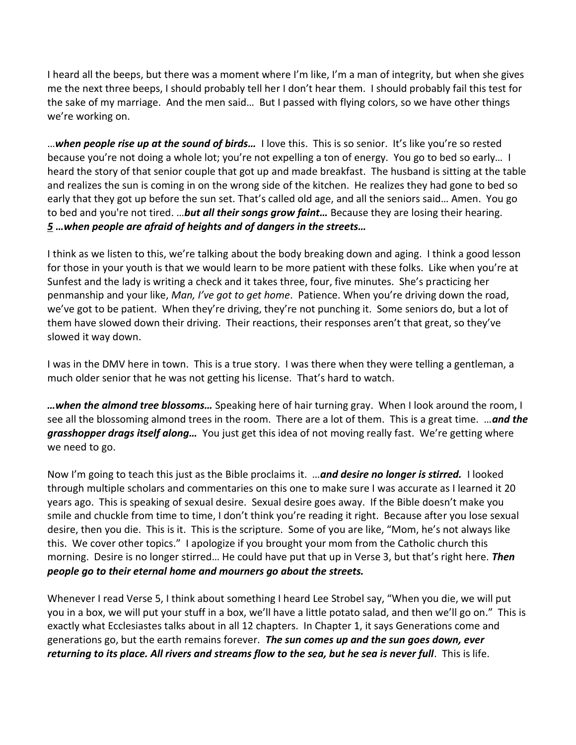I heard all the beeps, but there was a moment where I'm like, I'm a man of integrity, but when she gives me the next three beeps, I should probably tell her I don't hear them. I should probably fail this test for the sake of my marriage. And the men said… But I passed with flying colors, so we have other things we're working on.

…*when people rise up at the sound of birds…* I love this. This is so senior. It's like you're so rested because you're not doing a whole lot; you're not expelling a ton of energy. You go to bed so early… I heard the story of that senior couple that got up and made breakfast. The husband is sitting at the table and realizes the sun is coming in on the wrong side of the kitchen. He realizes they had gone to bed so early that they got up before the sun set. That's called old age, and all the seniors said… Amen. You go to bed and you're not tired. …*but all their songs grow faint…* Because they are losing their hearing. *[5](https://www.studylight.org/desk/?q=ec%2012:5&t1=en_niv&sr=1) …when people are afraid of heights and of dangers in the streets…*

I think as we listen to this, we're talking about the body breaking down and aging. I think a good lesson for those in your youth is that we would learn to be more patient with these folks. Like when you're at Sunfest and the lady is writing a check and it takes three, four, five minutes. She's practicing her penmanship and your like, *Man, I've got to get home*. Patience. When you're driving down the road, we've got to be patient. When they're driving, they're not punching it. Some seniors do, but a lot of them have slowed down their driving. Their reactions, their responses aren't that great, so they've slowed it way down.

I was in the DMV here in town. This is a true story. I was there when they were telling a gentleman, a much older senior that he was not getting his license. That's hard to watch.

*…when the almond tree blossoms…* Speaking here of hair turning gray. When I look around the room, I see all the blossoming almond trees in the room. There are a lot of them. This is a great time. …*and the grasshopper drags itself along…* You just get this idea of not moving really fast. We're getting where we need to go.

Now I'm going to teach this just as the Bible proclaims it. …*and desire no longer is stirred.* I looked through multiple scholars and commentaries on this one to make sure I was accurate as I learned it 20 years ago. This is speaking of sexual desire. Sexual desire goes away. If the Bible doesn't make you smile and chuckle from time to time, I don't think you're reading it right. Because after you lose sexual desire, then you die. This is it. This is the scripture. Some of you are like, "Mom, he's not always like this. We cover other topics." I apologize if you brought your mom from the Catholic church this morning. Desire is no longer stirred… He could have put that up in Verse 3, but that's right here. *Then people go to their eternal home and mourners go about the streets.*

Whenever I read Verse 5, I think about something I heard Lee Strobel say, "When you die, we will put you in a box, we will put your stuff in a box, we'll have a little potato salad, and then we'll go on." This is exactly what Ecclesiastes talks about in all 12 chapters. In Chapter 1, it says Generations come and generations go, but the earth remains forever. *The sun comes up and the sun goes down, ever returning to its place. All rivers and streams flow to the sea, but he sea is never full*. This is life.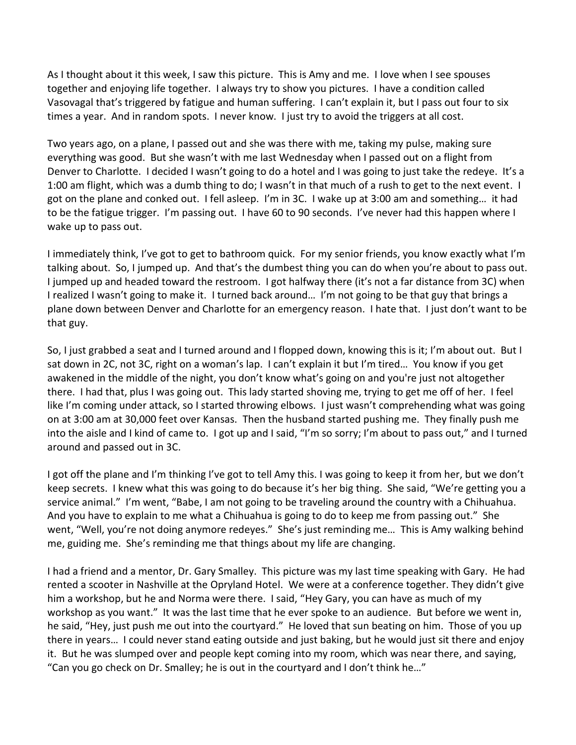As I thought about it this week, I saw this picture. This is Amy and me. I love when I see spouses together and enjoying life together. I always try to show you pictures. I have a condition called Vasovagal that's triggered by fatigue and human suffering. I can't explain it, but I pass out four to six times a year. And in random spots. I never know. I just try to avoid the triggers at all cost.

Two years ago, on a plane, I passed out and she was there with me, taking my pulse, making sure everything was good. But she wasn't with me last Wednesday when I passed out on a flight from Denver to Charlotte. I decided I wasn't going to do a hotel and I was going to just take the redeye. It's a 1:00 am flight, which was a dumb thing to do; I wasn't in that much of a rush to get to the next event. I got on the plane and conked out. I fell asleep. I'm in 3C. I wake up at 3:00 am and something… it had to be the fatigue trigger. I'm passing out. I have 60 to 90 seconds. I've never had this happen where I wake up to pass out.

I immediately think, I've got to get to bathroom quick. For my senior friends, you know exactly what I'm talking about. So, I jumped up. And that's the dumbest thing you can do when you're about to pass out. I jumped up and headed toward the restroom. I got halfway there (it's not a far distance from 3C) when I realized I wasn't going to make it. I turned back around… I'm not going to be that guy that brings a plane down between Denver and Charlotte for an emergency reason. I hate that. I just don't want to be that guy.

So, I just grabbed a seat and I turned around and I flopped down, knowing this is it; I'm about out. But I sat down in 2C, not 3C, right on a woman's lap. I can't explain it but I'm tired… You know if you get awakened in the middle of the night, you don't know what's going on and you're just not altogether there. I had that, plus I was going out. This lady started shoving me, trying to get me off of her. I feel like I'm coming under attack, so I started throwing elbows. I just wasn't comprehending what was going on at 3:00 am at 30,000 feet over Kansas. Then the husband started pushing me. They finally push me into the aisle and I kind of came to. I got up and I said, "I'm so sorry; I'm about to pass out," and I turned around and passed out in 3C.

I got off the plane and I'm thinking I've got to tell Amy this. I was going to keep it from her, but we don't keep secrets. I knew what this was going to do because it's her big thing. She said, "We're getting you a service animal." I'm went, "Babe, I am not going to be traveling around the country with a Chihuahua. And you have to explain to me what a Chihuahua is going to do to keep me from passing out." She went, "Well, you're not doing anymore redeyes." She's just reminding me… This is Amy walking behind me, guiding me. She's reminding me that things about my life are changing.

I had a friend and a mentor, Dr. Gary Smalley. This picture was my last time speaking with Gary. He had rented a scooter in Nashville at the Opryland Hotel. We were at a conference together. They didn't give him a workshop, but he and Norma were there. I said, "Hey Gary, you can have as much of my workshop as you want." It was the last time that he ever spoke to an audience. But before we went in, he said, "Hey, just push me out into the courtyard." He loved that sun beating on him. Those of you up there in years… I could never stand eating outside and just baking, but he would just sit there and enjoy it. But he was slumped over and people kept coming into my room, which was near there, and saying, "Can you go check on Dr. Smalley; he is out in the courtyard and I don't think he…"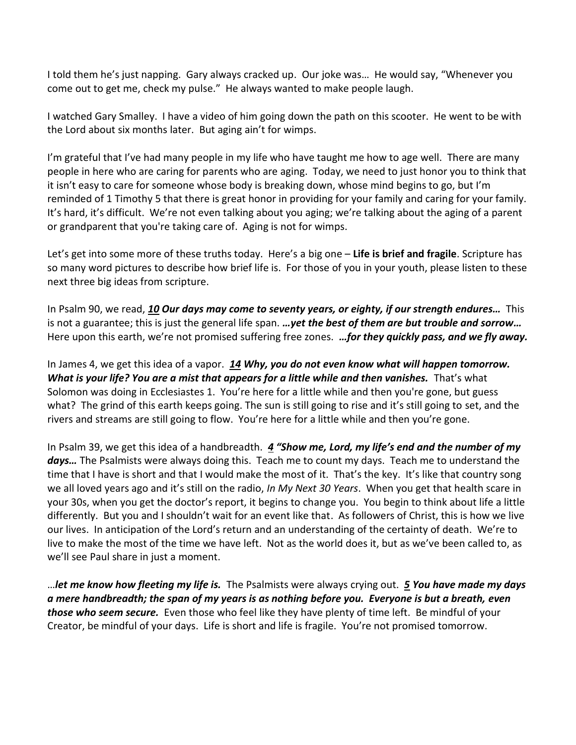I told them he's just napping. Gary always cracked up. Our joke was… He would say, "Whenever you come out to get me, check my pulse." He always wanted to make people laugh.

I watched Gary Smalley. I have a video of him going down the path on this scooter. He went to be with the Lord about six months later. But aging ain't for wimps.

I'm grateful that I've had many people in my life who have taught me how to age well. There are many people in here who are caring for parents who are aging. Today, we need to just honor you to think that it isn't easy to care for someone whose body is breaking down, whose mind begins to go, but I'm reminded of 1 Timothy 5 that there is great honor in providing for your family and caring for your family. It's hard, it's difficult. We're not even talking about you aging; we're talking about the aging of a parent or grandparent that you're taking care of. Aging is not for wimps.

Let's get into some more of these truths today. Here's a big one – **Life is brief and fragile**. Scripture has so many word pictures to describe how brief life is. For those of you in your youth, please listen to these next three big ideas from scripture.

In Psalm 90, we read, *[10](https://www.studylight.org/desk/?q=ps%2090:10&t1=en_niv&sr=1) Our days may come to seventy years, or eighty, if our strength endures…* This is not a guarantee; this is just the general life span. *…yet the best of them are but trouble and sorrow…* Here upon this earth, we're not promised suffering free zones. *…for they quickly pass, and we fly away.*

In James 4, we get this idea of a vapor. *[14](https://www.studylight.org/desk/?q=jas%204:14&t1=en_niv&sr=1) Why, you do not even know what will happen tomorrow. What is your life? You are a mist that appears for a little while and then vanishes.* That's what Solomon was doing in Ecclesiastes 1. You're here for a little while and then you're gone, but guess what? The grind of this earth keeps going. The sun is still going to rise and it's still going to set, and the rivers and streams are still going to flow. You're here for a little while and then you're gone.

In Psalm 39, we get this idea of a handbreadth. *[4](https://www.studylight.org/desk/?q=ps%2039:4&t1=en_niv&sr=1) "Show me, Lord, my life's end and the number of my days…* The Psalmists were always doing this. Teach me to count my days. Teach me to understand the time that I have is short and that I would make the most of it. That's the key. It's like that country song we all loved years ago and it's still on the radio, *In My Next 30 Years*. When you get that health scare in your 30s, when you get the doctor's report, it begins to change you. You begin to think about life a little differently. But you and I shouldn't wait for an event like that. As followers of Christ, this is how we live our lives. In anticipation of the Lord's return and an understanding of the certainty of death. We're to live to make the most of the time we have left. Not as the world does it, but as we've been called to, as we'll see Paul share in just a moment.

…*let me know how fleeting my life is.* The Psalmists were always crying out. *[5](https://www.studylight.org/desk/?q=ps%2039:5&t1=en_niv&sr=1) You have made my days a mere handbreadth; the span of my years is as nothing before you. Everyone is but a breath, even those who seem secure.* Even those who feel like they have plenty of time left. Be mindful of your Creator, be mindful of your days. Life is short and life is fragile. You're not promised tomorrow.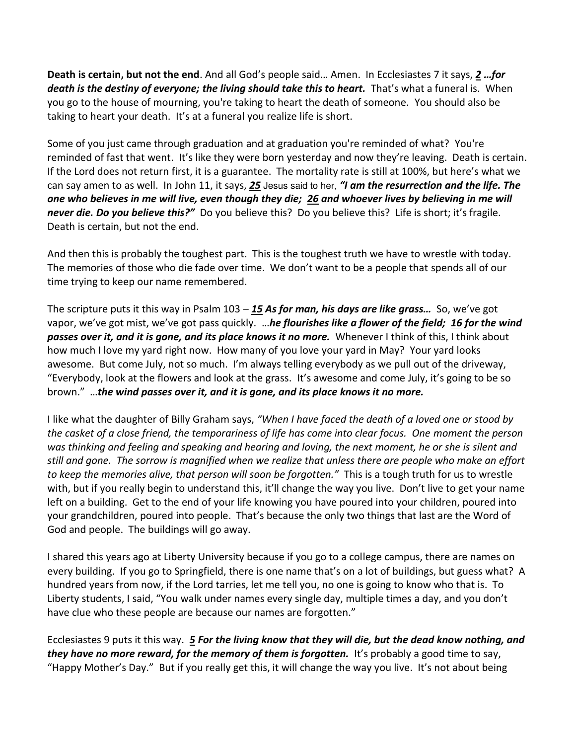**Death is certain, but not the end**. And all God's people said… Amen. In Ecclesiastes 7 it says, *[2](https://www.studylight.org/desk/?q=ec%207:2&t1=en_niv&sr=1) …for death is the destiny of everyone; the living should take this to heart.* That's what a funeral is. When you go to the house of mourning, you're taking to heart the death of someone. You should also be taking to heart your death. It's at a funeral you realize life is short.

Some of you just came through graduation and at graduation you're reminded of what? You're reminded of fast that went. It's like they were born yesterday and now they're leaving. Death is certain. If the Lord does not return first, it is a guarantee. The mortality rate is still at 100%, but here's what we can say amen to as well. In John 11, it says, *[25](https://www.studylight.org/desk/?q=joh%2011:25&t1=en_niv&sr=1)* Jesus said to her, *"I am the resurrection and the life. The one who believes in me will live, even though they die; [26](https://www.studylight.org/desk/?q=joh%2011:26&t1=en_niv&sr=1) and whoever lives by believing in me will never die. Do you believe this?"* Do you believe this? Do you believe this? Life is short; it's fragile. Death is certain, but not the end.

And then this is probably the toughest part. This is the toughest truth we have to wrestle with today. The memories of those who die fade over time. We don't want to be a people that spends all of our time trying to keep our name remembered.

The scripture puts it this way in Psalm 103 – *[15](https://www.studylight.org/desk/?q=ps%20103:15&t1=en_esv&sr=1) As for man, his days are like grass…* So, we've got vapor, we've got mist, we've got pass quickly. …*he flourishes like a flower of the field; [16](https://www.studylight.org/desk/?q=ps%20103:16&t1=en_esv&sr=1) for the wind passes over it, and it is gone, and its place knows it no more.* Whenever I think of this, I think about how much I love my yard right now. How many of you love your yard in May? Your yard looks awesome. But come July, not so much. I'm always telling everybody as we pull out of the driveway, "Everybody, look at the flowers and look at the grass. It's awesome and come July, it's going to be so brown." …*the wind passes over it, and it is gone, and its place knows it no more.*

I like what the daughter of Billy Graham says, *"When I have faced the death of a loved one or stood by the casket of a close friend, the temporariness of life has come into clear focus. One moment the person was thinking and feeling and speaking and hearing and loving, the next moment, he or she is silent and still and gone. The sorrow is magnified when we realize that unless there are people who make an effort to keep the memories alive, that person will soon be forgotten."* This is a tough truth for us to wrestle with, but if you really begin to understand this, it'll change the way you live. Don't live to get your name left on a building. Get to the end of your life knowing you have poured into your children, poured into your grandchildren, poured into people. That's because the only two things that last are the Word of God and people. The buildings will go away.

I shared this years ago at Liberty University because if you go to a college campus, there are names on every building. If you go to Springfield, there is one name that's on a lot of buildings, but guess what? A hundred years from now, if the Lord tarries, let me tell you, no one is going to know who that is. To Liberty students, I said, "You walk under names every single day, multiple times a day, and you don't have clue who these people are because our names are forgotten."

Ecclesiastes 9 puts it this way. *[5](https://www.studylight.org/desk/?q=ec%209:5&t1=en_esv&sr=1) For the living know that they will die, but the dead know nothing, and they have no more reward, for the memory of them is forgotten.* It's probably a good time to say, "Happy Mother's Day." But if you really get this, it will change the way you live. It's not about being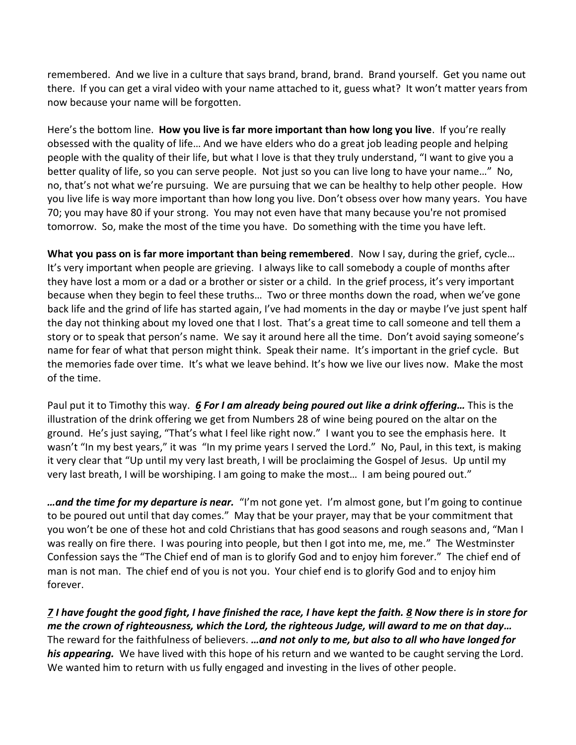remembered. And we live in a culture that says brand, brand, brand. Brand yourself. Get you name out there. If you can get a viral video with your name attached to it, guess what? It won't matter years from now because your name will be forgotten.

Here's the bottom line. **How you live is far more important than how long you live**. If you're really obsessed with the quality of life… And we have elders who do a great job leading people and helping people with the quality of their life, but what I love is that they truly understand, "I want to give you a better quality of life, so you can serve people. Not just so you can live long to have your name…" No, no, that's not what we're pursuing. We are pursuing that we can be healthy to help other people. How you live life is way more important than how long you live. Don't obsess over how many years. You have 70; you may have 80 if your strong. You may not even have that many because you're not promised tomorrow. So, make the most of the time you have. Do something with the time you have left.

**What you pass on is far more important than being remembered**. Now I say, during the grief, cycle… It's very important when people are grieving. I always like to call somebody a couple of months after they have lost a mom or a dad or a brother or sister or a child. In the grief process, it's very important because when they begin to feel these truths… Two or three months down the road, when we've gone back life and the grind of life has started again, I've had moments in the day or maybe I've just spent half the day not thinking about my loved one that I lost. That's a great time to call someone and tell them a story or to speak that person's name. We say it around here all the time. Don't avoid saying someone's name for fear of what that person might think. Speak their name. It's important in the grief cycle. But the memories fade over time. It's what we leave behind. It's how we live our lives now. Make the most of the time.

Paul put it to Timothy this way. *[6](https://www.studylight.org/desk/?q=2ti%204:6&t1=en_niv&sr=1) For I am already being poured out like a drink offering…* This is the illustration of the drink offering we get from Numbers 28 of wine being poured on the altar on the ground. He's just saying, "That's what I feel like right now." I want you to see the emphasis here. It wasn't "In my best years," it was "In my prime years I served the Lord." No, Paul, in this text, is making it very clear that "Up until my very last breath, I will be proclaiming the Gospel of Jesus. Up until my very last breath, I will be worshiping. I am going to make the most… I am being poured out."

*…and the time for my departure is near.* "I'm not gone yet. I'm almost gone, but I'm going to continue to be poured out until that day comes." May that be your prayer, may that be your commitment that you won't be one of these hot and cold Christians that has good seasons and rough seasons and, "Man I was really on fire there. I was pouring into people, but then I got into me, me, me." The Westminster Confession says the "The Chief end of man is to glorify God and to enjoy him forever." The chief end of man is not man. The chief end of you is not you. Your chief end is to glorify God and to enjoy him forever.

*[7](https://www.studylight.org/desk/?q=2ti%204:7&t1=en_niv&sr=1) I have fought the good fight, I have finished the race, I have kept the faith. [8](https://www.studylight.org/desk/?q=2ti%204:8&t1=en_niv&sr=1) Now there is in store for me the crown of righteousness, which the Lord, the righteous Judge, will award to me on that day…* The reward for the faithfulness of believers. *…and not only to me, but also to all who have longed for his appearing.* We have lived with this hope of his return and we wanted to be caught serving the Lord. We wanted him to return with us fully engaged and investing in the lives of other people.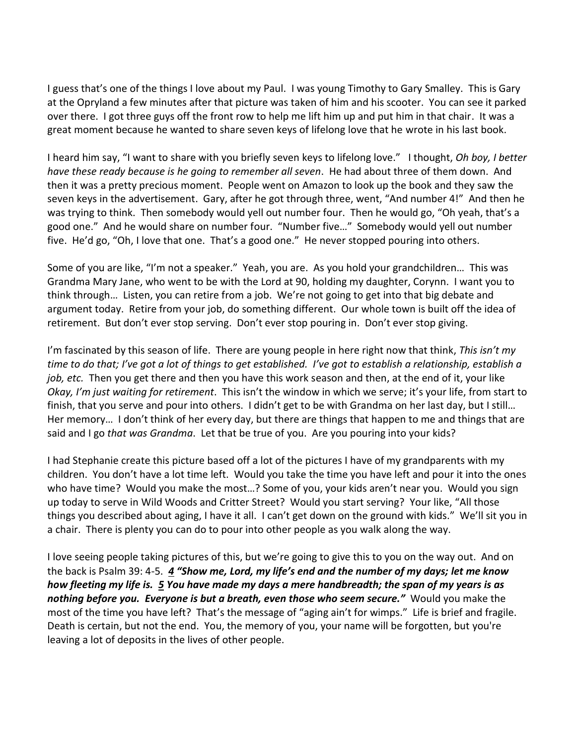I guess that's one of the things I love about my Paul. I was young Timothy to Gary Smalley. This is Gary at the Opryland a few minutes after that picture was taken of him and his scooter. You can see it parked over there. I got three guys off the front row to help me lift him up and put him in that chair. It was a great moment because he wanted to share seven keys of lifelong love that he wrote in his last book.

I heard him say, "I want to share with you briefly seven keys to lifelong love." I thought, *Oh boy, I better have these ready because is he going to remember all seven*. He had about three of them down. And then it was a pretty precious moment. People went on Amazon to look up the book and they saw the seven keys in the advertisement. Gary, after he got through three, went, "And number 4!" And then he was trying to think. Then somebody would yell out number four. Then he would go, "Oh yeah, that's a good one." And he would share on number four. "Number five…" Somebody would yell out number five. He'd go, "Oh, I love that one. That's a good one." He never stopped pouring into others.

Some of you are like, "I'm not a speaker." Yeah, you are. As you hold your grandchildren… This was Grandma Mary Jane, who went to be with the Lord at 90, holding my daughter, Corynn. I want you to think through… Listen, you can retire from a job. We're not going to get into that big debate and argument today. Retire from your job, do something different. Our whole town is built off the idea of retirement. But don't ever stop serving. Don't ever stop pouring in. Don't ever stop giving.

I'm fascinated by this season of life. There are young people in here right now that think, *This isn't my time to do that; I've got a lot of things to get established. I've got to establish a relationship, establish a job, etc.* Then you get there and then you have this work season and then, at the end of it, your like *Okay, I'm just waiting for retirement*. This isn't the window in which we serve; it's your life, from start to finish, that you serve and pour into others. I didn't get to be with Grandma on her last day, but I still… Her memory… I don't think of her every day, but there are things that happen to me and things that are said and I go *that was Grandma*. Let that be true of you. Are you pouring into your kids?

I had Stephanie create this picture based off a lot of the pictures I have of my grandparents with my children. You don't have a lot time left. Would you take the time you have left and pour it into the ones who have time? Would you make the most…? Some of you, your kids aren't near you. Would you sign up today to serve in Wild Woods and Critter Street? Would you start serving? Your like, "All those things you described about aging, I have it all. I can't get down on the ground with kids." We'll sit you in a chair. There is plenty you can do to pour into other people as you walk along the way.

I love seeing people taking pictures of this, but we're going to give this to you on the way out. And on the back is Psalm 39: 4-5. *[4](https://www.studylight.org/desk/?q=ps%2039:4&t1=en_niv&sr=1) "Show me, Lord, my life's end and the number of my days; let me know how fleeting my life is. [5](https://www.studylight.org/desk/?q=ps%2039:5&t1=en_niv&sr=1) You have made my days a mere handbreadth; the span of my years is as nothing before you. Everyone is but a breath, even those who seem secure."* Would you make the most of the time you have left? That's the message of "aging ain't for wimps." Life is brief and fragile. Death is certain, but not the end. You, the memory of you, your name will be forgotten, but you're leaving a lot of deposits in the lives of other people.